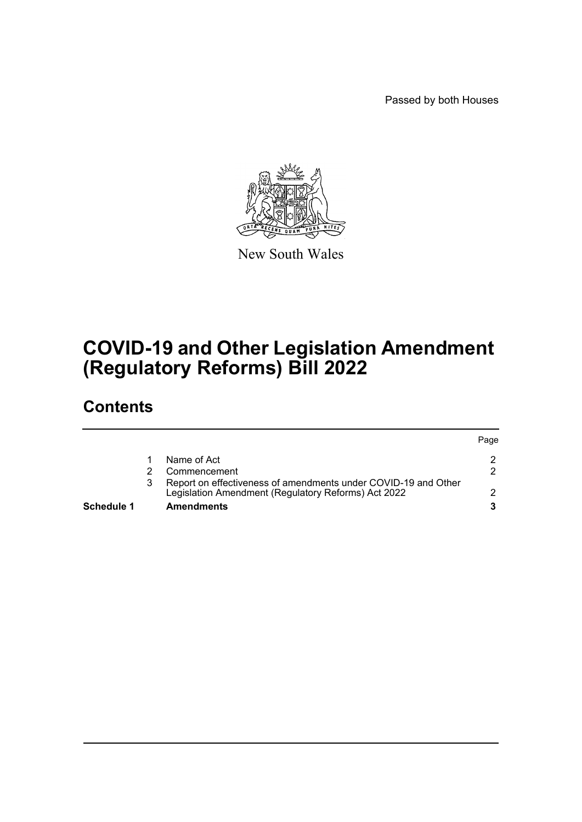Passed by both Houses



New South Wales

# **COVID-19 and Other Legislation Amendment (Regulatory Reforms) Bill 2022**

## **Contents**

| Schedule 1 | <b>Amendments</b>                                                                                                     |      |
|------------|-----------------------------------------------------------------------------------------------------------------------|------|
|            | Report on effectiveness of amendments under COVID-19 and Other<br>Legislation Amendment (Regulatory Reforms) Act 2022 |      |
|            | Commencement                                                                                                          |      |
|            | Name of Act                                                                                                           |      |
|            |                                                                                                                       | Page |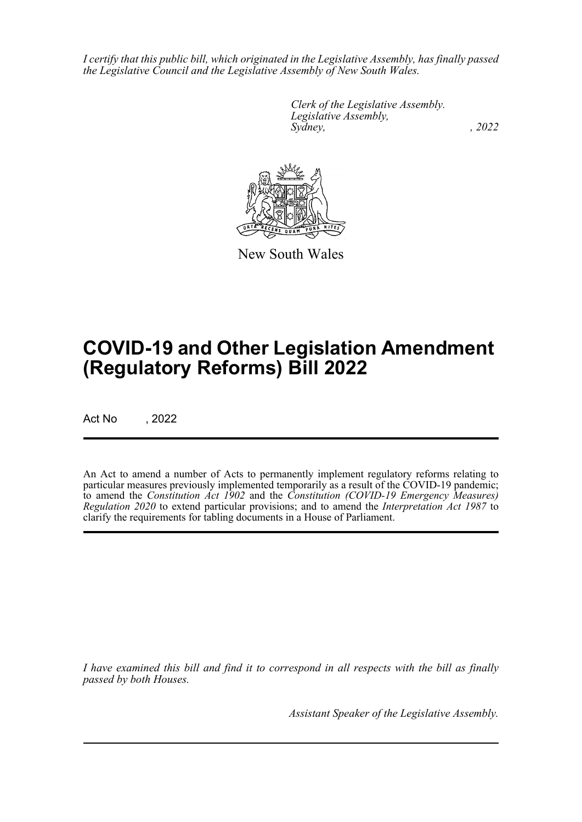*I certify that this public bill, which originated in the Legislative Assembly, has finally passed the Legislative Council and the Legislative Assembly of New South Wales.*

> *Clerk of the Legislative Assembly. Legislative Assembly, Sydney, , 2022*



New South Wales

# **COVID-19 and Other Legislation Amendment (Regulatory Reforms) Bill 2022**

Act No , 2022

An Act to amend a number of Acts to permanently implement regulatory reforms relating to particular measures previously implemented temporarily as a result of the COVID-19 pandemic; to amend the *Constitution Act 1902* and the *Constitution (COVID-19 Emergency Measures) Regulation 2020* to extend particular provisions; and to amend the *Interpretation Act 1987* to clarify the requirements for tabling documents in a House of Parliament.

*I have examined this bill and find it to correspond in all respects with the bill as finally passed by both Houses.*

*Assistant Speaker of the Legislative Assembly.*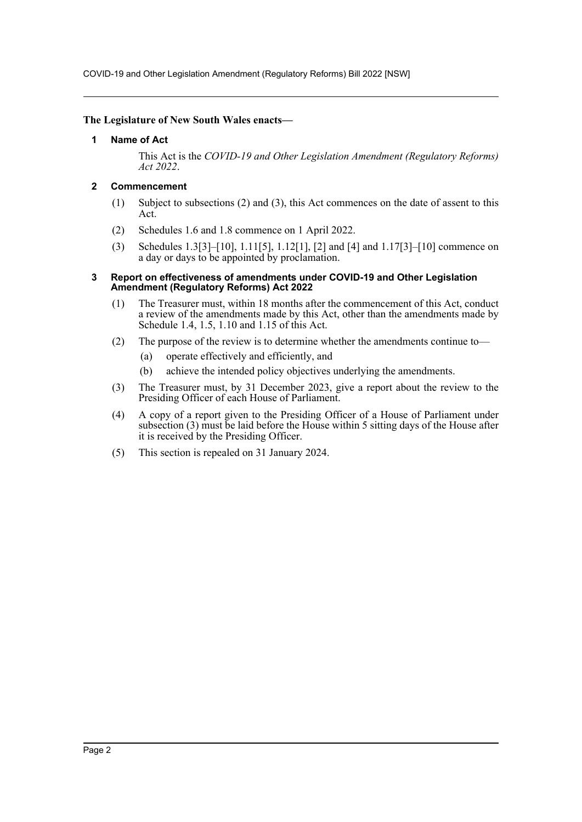COVID-19 and Other Legislation Amendment (Regulatory Reforms) Bill 2022 [NSW]

#### <span id="page-2-0"></span>**The Legislature of New South Wales enacts—**

#### **1 Name of Act**

This Act is the *COVID-19 and Other Legislation Amendment (Regulatory Reforms) Act 2022*.

#### <span id="page-2-1"></span>**2 Commencement**

- (1) Subject to subsections (2) and (3), this Act commences on the date of assent to this Act.
- (2) Schedules 1.6 and 1.8 commence on 1 April 2022.
- (3) Schedules 1.3[3]–[10], 1.11[5], 1.12[1], [2] and [4] and 1.17[3]–[10] commence on a day or days to be appointed by proclamation.

#### <span id="page-2-2"></span>**3 Report on effectiveness of amendments under COVID-19 and Other Legislation Amendment (Regulatory Reforms) Act 2022**

- (1) The Treasurer must, within 18 months after the commencement of this Act, conduct a review of the amendments made by this Act, other than the amendments made by Schedule 1.4, 1.5, 1.10 and 1.15 of this Act.
- (2) The purpose of the review is to determine whether the amendments continue to—
	- (a) operate effectively and efficiently, and
	- (b) achieve the intended policy objectives underlying the amendments.
- (3) The Treasurer must, by 31 December 2023, give a report about the review to the Presiding Officer of each House of Parliament.
- (4) A copy of a report given to the Presiding Officer of a House of Parliament under subsection (3) must be laid before the House within 5 sitting days of the House after it is received by the Presiding Officer.
- (5) This section is repealed on 31 January 2024.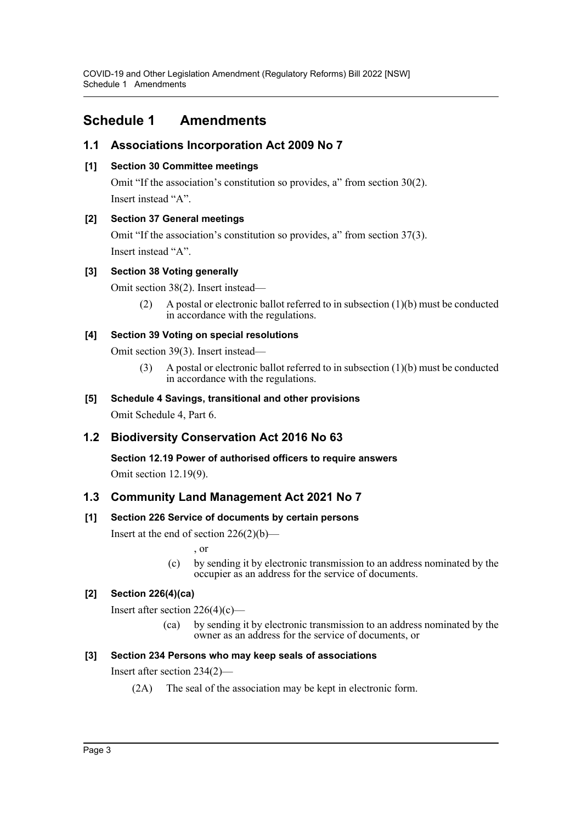## <span id="page-3-0"></span>**Schedule 1 Amendments**

## **1.1 Associations Incorporation Act 2009 No 7**

#### **[1] Section 30 Committee meetings**

Omit "If the association's constitution so provides, a" from section 30(2). Insert instead "A".

## **[2] Section 37 General meetings**

Omit "If the association's constitution so provides, a" from section 37(3). Insert instead "A".

#### **[3] Section 38 Voting generally**

Omit section 38(2). Insert instead—

(2) A postal or electronic ballot referred to in subsection  $(1)(b)$  must be conducted in accordance with the regulations.

#### **[4] Section 39 Voting on special resolutions**

Omit section 39(3). Insert instead—

(3) A postal or electronic ballot referred to in subsection (1)(b) must be conducted in accordance with the regulations.

## **[5] Schedule 4 Savings, transitional and other provisions**

Omit Schedule 4, Part 6.

## **1.2 Biodiversity Conservation Act 2016 No 63**

**Section 12.19 Power of authorised officers to require answers** Omit section 12.19(9).

## **1.3 Community Land Management Act 2021 No 7**

## **[1] Section 226 Service of documents by certain persons**

Insert at the end of section 226(2)(b)—

, or

(c) by sending it by electronic transmission to an address nominated by the occupier as an address for the service of documents.

## **[2] Section 226(4)(ca)**

Insert after section  $226(4)(c)$ —

(ca) by sending it by electronic transmission to an address nominated by the owner as an address for the service of documents, or

## **[3] Section 234 Persons who may keep seals of associations**

Insert after section 234(2)—

(2A) The seal of the association may be kept in electronic form.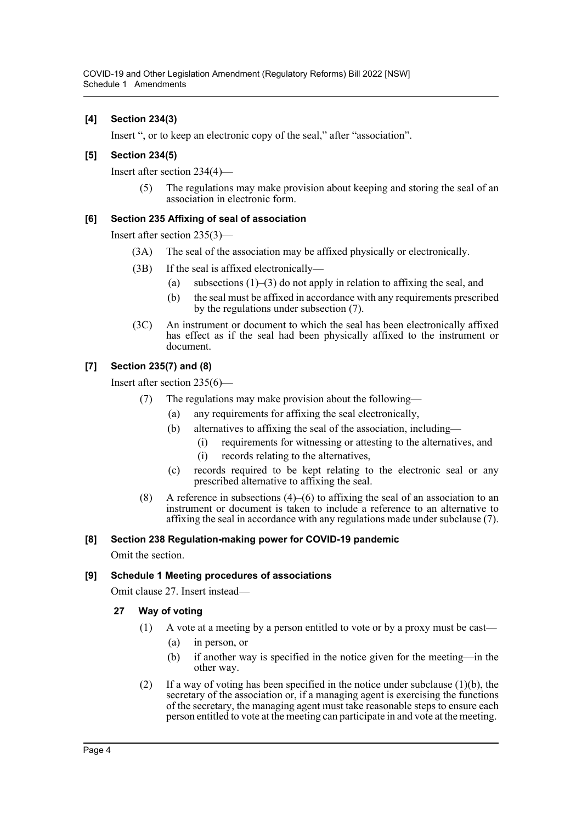#### **[4] Section 234(3)**

Insert ", or to keep an electronic copy of the seal," after "association".

#### **[5] Section 234(5)**

Insert after section 234(4)—

(5) The regulations may make provision about keeping and storing the seal of an association in electronic form.

#### **[6] Section 235 Affixing of seal of association**

Insert after section 235(3)—

- (3A) The seal of the association may be affixed physically or electronically.
- (3B) If the seal is affixed electronically—
	- (a) subsections  $(1)$ – $(3)$  do not apply in relation to affixing the seal, and
	- (b) the seal must be affixed in accordance with any requirements prescribed by the regulations under subsection (7).
- (3C) An instrument or document to which the seal has been electronically affixed has effect as if the seal had been physically affixed to the instrument or document.

#### **[7] Section 235(7) and (8)**

Insert after section 235(6)—

- (7) The regulations may make provision about the following—
	- (a) any requirements for affixing the seal electronically,
	- (b) alternatives to affixing the seal of the association, including—
		- (i) requirements for witnessing or attesting to the alternatives, and
			- (i) records relating to the alternatives,
	- (c) records required to be kept relating to the electronic seal or any prescribed alternative to affixing the seal.
- (8) A reference in subsections (4)–(6) to affixing the seal of an association to an instrument or document is taken to include a reference to an alternative to affixing the seal in accordance with any regulations made under subclause (7).

#### **[8] Section 238 Regulation-making power for COVID-19 pandemic**

Omit the section.

#### **[9] Schedule 1 Meeting procedures of associations**

Omit clause 27. Insert instead—

#### **27 Way of voting**

- (1) A vote at a meeting by a person entitled to vote or by a proxy must be cast—
	- (a) in person, or
	- (b) if another way is specified in the notice given for the meeting—in the other way.
- (2) If a way of voting has been specified in the notice under subclause (1)(b), the secretary of the association or, if a managing agent is exercising the functions of the secretary, the managing agent must take reasonable steps to ensure each person entitled to vote at the meeting can participate in and vote at the meeting.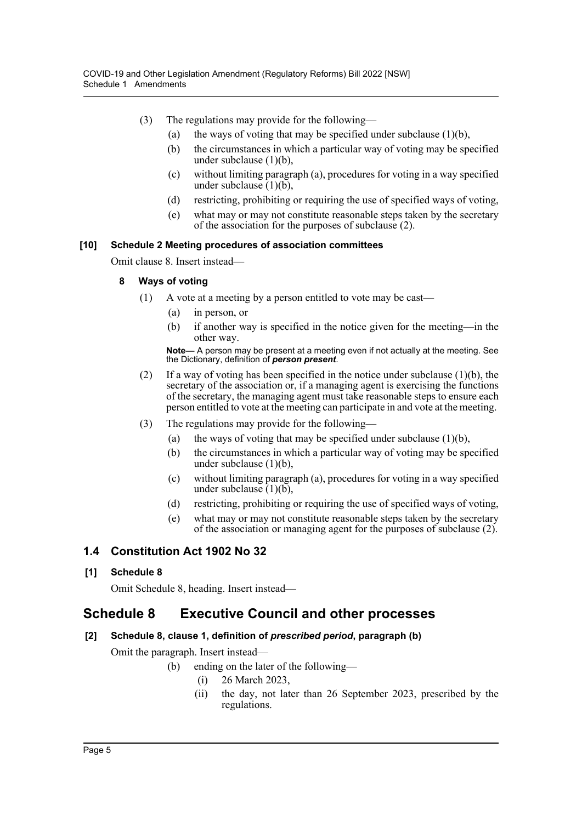- (3) The regulations may provide for the following—
	- (a) the ways of voting that may be specified under subclause  $(1)(b)$ ,
	- (b) the circumstances in which a particular way of voting may be specified under subclause (1)(b),
	- (c) without limiting paragraph (a), procedures for voting in a way specified under subclause  $(1)(b)$ ,
	- (d) restricting, prohibiting or requiring the use of specified ways of voting,
	- (e) what may or may not constitute reasonable steps taken by the secretary of the association for the purposes of subclause (2).

#### **[10] Schedule 2 Meeting procedures of association committees**

Omit clause 8. Insert instead—

#### **8 Ways of voting**

- (1) A vote at a meeting by a person entitled to vote may be cast—
	- (a) in person, or
	- (b) if another way is specified in the notice given for the meeting—in the other way.

**Note—** A person may be present at a meeting even if not actually at the meeting. See the Dictionary, definition of *person present*.

- (2) If a way of voting has been specified in the notice under subclause (1)(b), the secretary of the association or, if a managing agent is exercising the functions of the secretary, the managing agent must take reasonable steps to ensure each person entitled to vote at the meeting can participate in and vote at the meeting.
- (3) The regulations may provide for the following—
	- (a) the ways of voting that may be specified under subclause  $(1)(b)$ ,
	- (b) the circumstances in which a particular way of voting may be specified under subclause (1)(b),
	- (c) without limiting paragraph (a), procedures for voting in a way specified under subclause  $(1)(b)$ ,
	- (d) restricting, prohibiting or requiring the use of specified ways of voting,
	- (e) what may or may not constitute reasonable steps taken by the secretary of the association or managing agent for the purposes of subclause (2).

## **1.4 Constitution Act 1902 No 32**

#### **[1] Schedule 8**

Omit Schedule 8, heading. Insert instead—

## **Schedule 8 Executive Council and other processes**

#### **[2] Schedule 8, clause 1, definition of** *prescribed period***, paragraph (b)**

Omit the paragraph. Insert instead—

- (b) ending on the later of the following—
	- (i) 26 March 2023,
	- (ii) the day, not later than 26 September 2023, prescribed by the regulations.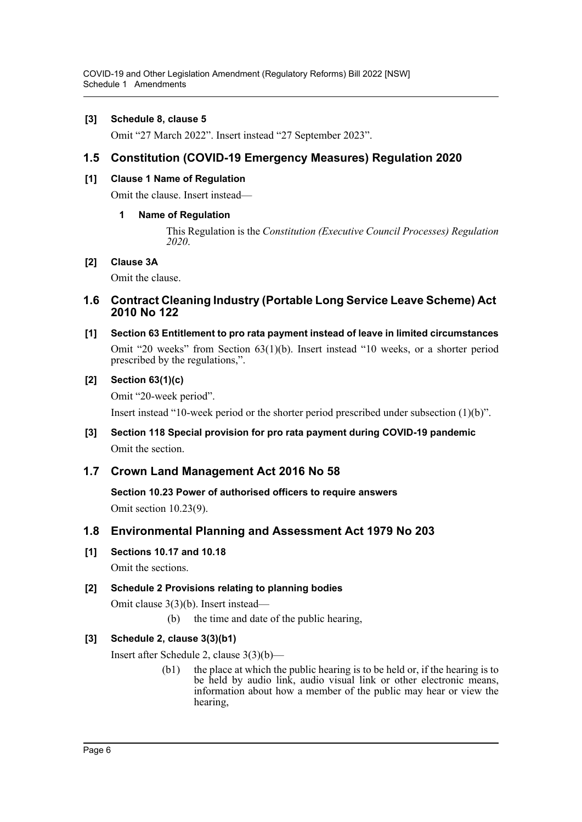#### **[3] Schedule 8, clause 5**

Omit "27 March 2022". Insert instead "27 September 2023".

## **1.5 Constitution (COVID-19 Emergency Measures) Regulation 2020**

#### **[1] Clause 1 Name of Regulation**

Omit the clause. Insert instead—

#### **1 Name of Regulation**

This Regulation is the *Constitution (Executive Council Processes) Regulation 2020*.

#### **[2] Clause 3A**

Omit the clause.

#### **1.6 Contract Cleaning Industry (Portable Long Service Leave Scheme) Act 2010 No 122**

**[1] Section 63 Entitlement to pro rata payment instead of leave in limited circumstances** Omit "20 weeks" from Section 63(1)(b). Insert instead "10 weeks, or a shorter period prescribed by the regulations,".

#### **[2] Section 63(1)(c)**

Omit "20-week period".

Insert instead "10-week period or the shorter period prescribed under subsection (1)(b)".

**[3] Section 118 Special provision for pro rata payment during COVID-19 pandemic** Omit the section.

## **1.7 Crown Land Management Act 2016 No 58**

**Section 10.23 Power of authorised officers to require answers** Omit section 10.23(9).

## **1.8 Environmental Planning and Assessment Act 1979 No 203**

**[1] Sections 10.17 and 10.18**

Omit the sections.

#### **[2] Schedule 2 Provisions relating to planning bodies**

Omit clause 3(3)(b). Insert instead—

(b) the time and date of the public hearing,

#### **[3] Schedule 2, clause 3(3)(b1)**

Insert after Schedule 2, clause 3(3)(b)—

(b1) the place at which the public hearing is to be held or, if the hearing is to be held by audio link, audio visual link or other electronic means, information about how a member of the public may hear or view the hearing,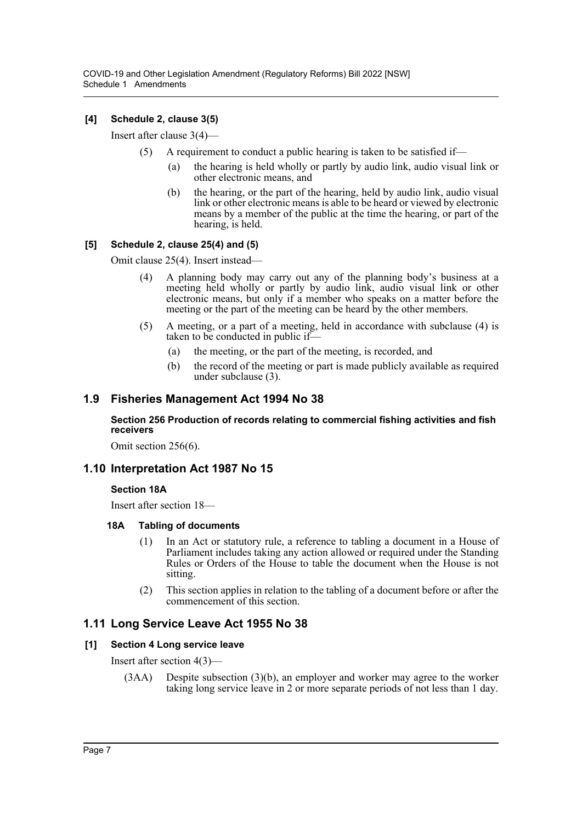## **[4] Schedule 2, clause 3(5)**

Insert after clause 3(4)—

- (5) A requirement to conduct a public hearing is taken to be satisfied if—
	- (a) the hearing is held wholly or partly by audio link, audio visual link or other electronic means, and
	- (b) the hearing, or the part of the hearing, held by audio link, audio visual link or other electronic means is able to be heard or viewed by electronic means by a member of the public at the time the hearing, or part of the hearing, is held.

#### **[5] Schedule 2, clause 25(4) and (5)**

Omit clause 25(4). Insert instead—

- (4) A planning body may carry out any of the planning body's business at a meeting held wholly or partly by audio link, audio visual link or other electronic means, but only if a member who speaks on a matter before the meeting or the part of the meeting can be heard by the other members.
- (5) A meeting, or a part of a meeting, held in accordance with subclause (4) is taken to be conducted in public if—
	- (a) the meeting, or the part of the meeting, is recorded, and
	- (b) the record of the meeting or part is made publicly available as required under subclause (3).

## **1.9 Fisheries Management Act 1994 No 38**

#### **Section 256 Production of records relating to commercial fishing activities and fish receivers**

Omit section 256(6).

## **1.10 Interpretation Act 1987 No 15**

#### **Section 18A**

Insert after section 18—

#### **18A Tabling of documents**

- (1) In an Act or statutory rule, a reference to tabling a document in a House of Parliament includes taking any action allowed or required under the Standing Rules or Orders of the House to table the document when the House is not sitting.
- (2) This section applies in relation to the tabling of a document before or after the commencement of this section.

## **1.11 Long Service Leave Act 1955 No 38**

#### **[1] Section 4 Long service leave**

Insert after section 4(3)—

(3AA) Despite subsection (3)(b), an employer and worker may agree to the worker taking long service leave in 2 or more separate periods of not less than 1 day.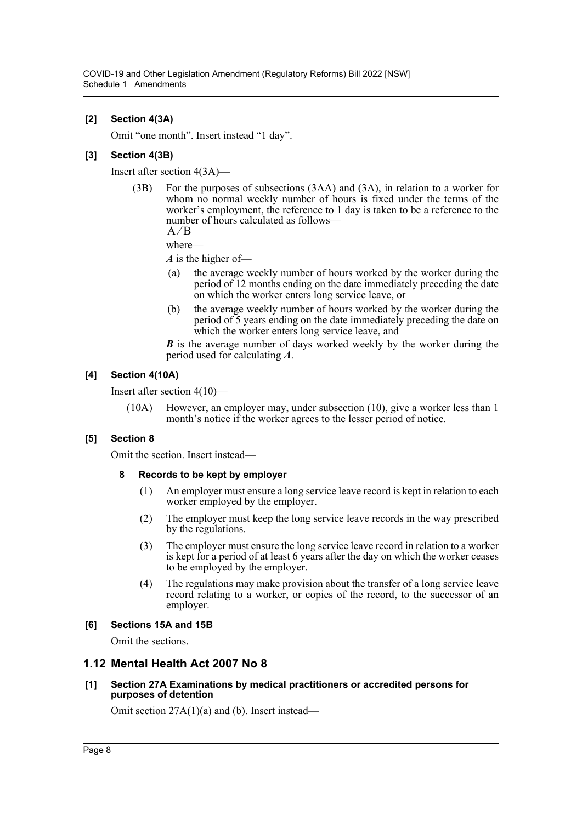#### **[2] Section 4(3A)**

Omit "one month". Insert instead "1 day".

#### **[3] Section 4(3B)**

Insert after section 4(3A)—

(3B) For the purposes of subsections (3AA) and (3A), in relation to a worker for whom no normal weekly number of hours is fixed under the terms of the worker's employment, the reference to 1 day is taken to be a reference to the number of hours calculated as follows—

 $A/B$ 

where—

*A* is the higher of—

- (a) the average weekly number of hours worked by the worker during the period of 12 months ending on the date immediately preceding the date on which the worker enters long service leave, or
- (b) the average weekly number of hours worked by the worker during the period of 5 years ending on the date immediately preceding the date on which the worker enters long service leave, and

*B* is the average number of days worked weekly by the worker during the period used for calculating *A*.

#### **[4] Section 4(10A)**

Insert after section 4(10)—

(10A) However, an employer may, under subsection (10), give a worker less than 1 month's notice if the worker agrees to the lesser period of notice.

#### **[5] Section 8**

Omit the section. Insert instead—

#### **8 Records to be kept by employer**

- (1) An employer must ensure a long service leave record is kept in relation to each worker employed by the employer.
- (2) The employer must keep the long service leave records in the way prescribed by the regulations.
- (3) The employer must ensure the long service leave record in relation to a worker is kept for a period of at least 6 years after the day on which the worker ceases to be employed by the employer.
- (4) The regulations may make provision about the transfer of a long service leave record relating to a worker, or copies of the record, to the successor of an employer.

#### **[6] Sections 15A and 15B**

Omit the sections.

## **1.12 Mental Health Act 2007 No 8**

#### **[1] Section 27A Examinations by medical practitioners or accredited persons for purposes of detention**

Omit section 27A(1)(a) and (b). Insert instead—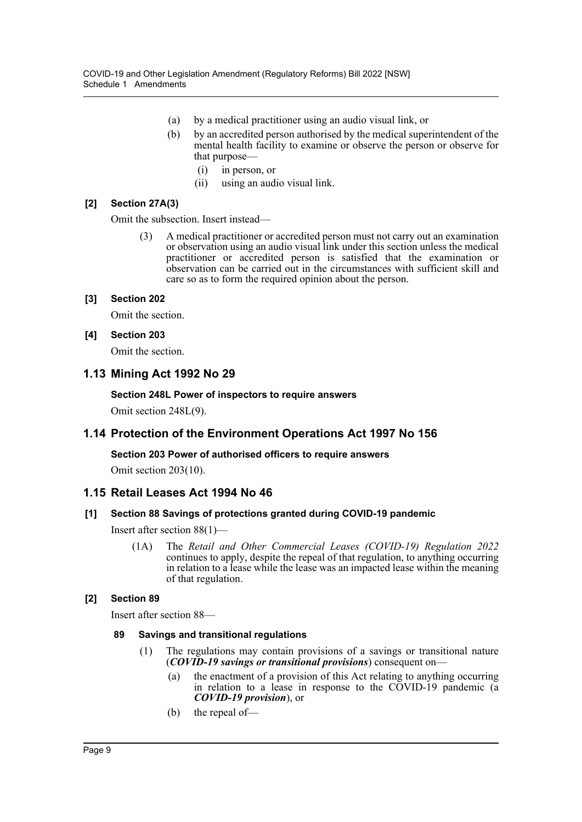- (a) by a medical practitioner using an audio visual link, or
- (b) by an accredited person authorised by the medical superintendent of the mental health facility to examine or observe the person or observe for that purpose—
	- (i) in person, or
	- (ii) using an audio visual link.

#### **[2] Section 27A(3)**

Omit the subsection. Insert instead—

(3) A medical practitioner or accredited person must not carry out an examination or observation using an audio visual link under this section unless the medical practitioner or accredited person is satisfied that the examination or observation can be carried out in the circumstances with sufficient skill and care so as to form the required opinion about the person.

#### **[3] Section 202**

Omit the section.

#### **[4] Section 203**

Omit the section.

#### **1.13 Mining Act 1992 No 29**

**Section 248L Power of inspectors to require answers** Omit section 248L(9).

## **1.14 Protection of the Environment Operations Act 1997 No 156**

#### **Section 203 Power of authorised officers to require answers**

Omit section 203(10).

## **1.15 Retail Leases Act 1994 No 46**

#### **[1] Section 88 Savings of protections granted during COVID-19 pandemic**

Insert after section 88(1)—

(1A) The *Retail and Other Commercial Leases (COVID-19) Regulation 2022* continues to apply, despite the repeal of that regulation, to anything occurring in relation to a lease while the lease was an impacted lease within the meaning of that regulation.

#### **[2] Section 89**

Insert after section 88—

#### **89 Savings and transitional regulations**

- (1) The regulations may contain provisions of a savings or transitional nature (*COVID-19 savings or transitional provisions*) consequent on—
	- (a) the enactment of a provision of this Act relating to anything occurring in relation to a lease in response to the COVID-19 pandemic (a *COVID-19 provision*), or
	- (b) the repeal of—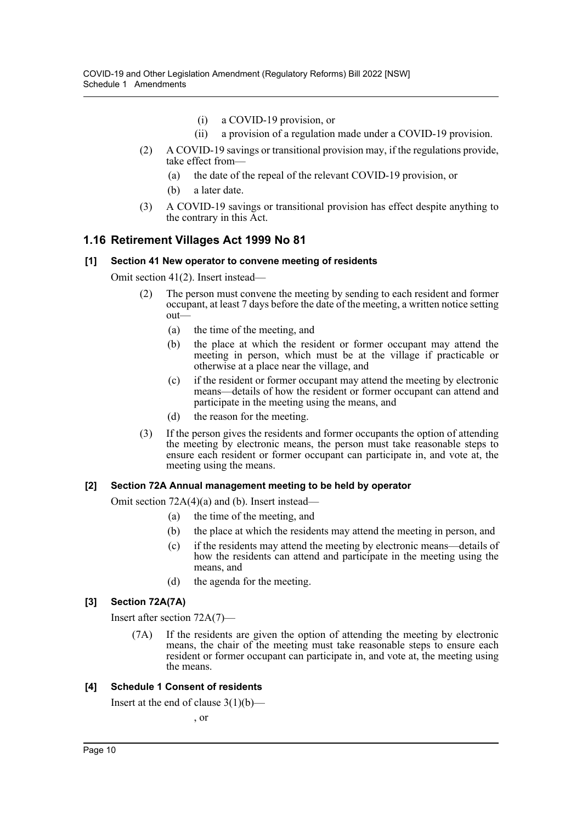- (i) a COVID-19 provision, or
- (ii) a provision of a regulation made under a COVID-19 provision.
- (2) A COVID-19 savings or transitional provision may, if the regulations provide, take effect from—
	- (a) the date of the repeal of the relevant COVID-19 provision, or
	- (b) a later date.
- (3) A COVID-19 savings or transitional provision has effect despite anything to the contrary in this Act.

#### **1.16 Retirement Villages Act 1999 No 81**

#### **[1] Section 41 New operator to convene meeting of residents**

Omit section 41(2). Insert instead—

- (2) The person must convene the meeting by sending to each resident and former occupant, at least 7 days before the date of the meeting, a written notice setting out—
	- (a) the time of the meeting, and
	- (b) the place at which the resident or former occupant may attend the meeting in person, which must be at the village if practicable or otherwise at a place near the village, and
	- (c) if the resident or former occupant may attend the meeting by electronic means—details of how the resident or former occupant can attend and participate in the meeting using the means, and
	- (d) the reason for the meeting.
- (3) If the person gives the residents and former occupants the option of attending the meeting by electronic means, the person must take reasonable steps to ensure each resident or former occupant can participate in, and vote at, the meeting using the means.

#### **[2] Section 72A Annual management meeting to be held by operator**

Omit section 72A(4)(a) and (b). Insert instead—

- (a) the time of the meeting, and
- (b) the place at which the residents may attend the meeting in person, and
- (c) if the residents may attend the meeting by electronic means—details of how the residents can attend and participate in the meeting using the means, and
- (d) the agenda for the meeting.

#### **[3] Section 72A(7A)**

Insert after section 72A(7)—

(7A) If the residents are given the option of attending the meeting by electronic means, the chair of the meeting must take reasonable steps to ensure each resident or former occupant can participate in, and vote at, the meeting using the means.

#### **[4] Schedule 1 Consent of residents**

Insert at the end of clause  $3(1)(b)$ —

, or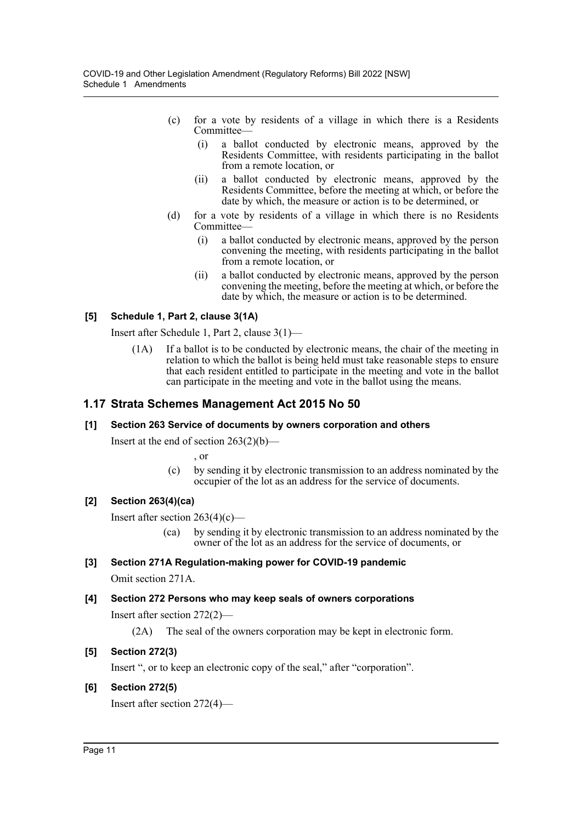- (c) for a vote by residents of a village in which there is a Residents Committee—
	- (i) a ballot conducted by electronic means, approved by the Residents Committee, with residents participating in the ballot from a remote location, or
	- (ii) a ballot conducted by electronic means, approved by the Residents Committee, before the meeting at which, or before the date by which, the measure or action is to be determined, or
- (d) for a vote by residents of a village in which there is no Residents Committee—
	- (i) a ballot conducted by electronic means, approved by the person convening the meeting, with residents participating in the ballot from a remote location, or
	- (ii) a ballot conducted by electronic means, approved by the person convening the meeting, before the meeting at which, or before the date by which, the measure or action is to be determined.

#### **[5] Schedule 1, Part 2, clause 3(1A)**

Insert after Schedule 1, Part 2, clause 3(1)—

(1A) If a ballot is to be conducted by electronic means, the chair of the meeting in relation to which the ballot is being held must take reasonable steps to ensure that each resident entitled to participate in the meeting and vote in the ballot can participate in the meeting and vote in the ballot using the means.

## **1.17 Strata Schemes Management Act 2015 No 50**

#### **[1] Section 263 Service of documents by owners corporation and others**

Insert at the end of section  $263(2)(b)$ —

, or

(c) by sending it by electronic transmission to an address nominated by the occupier of the lot as an address for the service of documents.

#### **[2] Section 263(4)(ca)**

Insert after section 263(4)(c)—

(ca) by sending it by electronic transmission to an address nominated by the owner of the lot as an address for the service of documents, or

#### **[3] Section 271A Regulation-making power for COVID-19 pandemic**

Omit section 271A.

#### **[4] Section 272 Persons who may keep seals of owners corporations**

Insert after section 272(2)—

(2A) The seal of the owners corporation may be kept in electronic form.

#### **[5] Section 272(3)**

Insert ", or to keep an electronic copy of the seal," after "corporation".

#### **[6] Section 272(5)**

Insert after section 272(4)—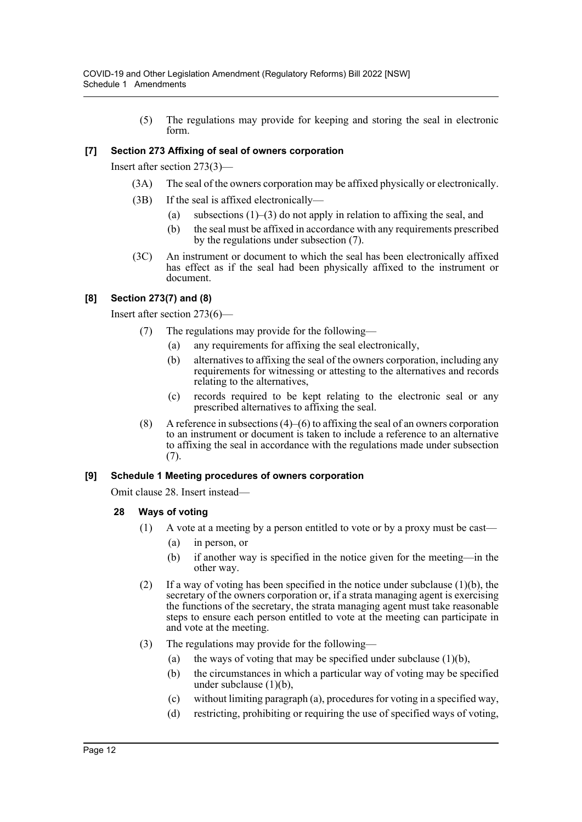(5) The regulations may provide for keeping and storing the seal in electronic form.

### **[7] Section 273 Affixing of seal of owners corporation**

Insert after section 273(3)—

- (3A) The seal of the owners corporation may be affixed physically or electronically.
- (3B) If the seal is affixed electronically—
	- (a) subsections  $(1)$ –(3) do not apply in relation to affixing the seal, and
	- (b) the seal must be affixed in accordance with any requirements prescribed by the regulations under subsection (7).
- (3C) An instrument or document to which the seal has been electronically affixed has effect as if the seal had been physically affixed to the instrument or document.

#### **[8] Section 273(7) and (8)**

Insert after section 273(6)—

- (7) The regulations may provide for the following—
	- (a) any requirements for affixing the seal electronically,
	- (b) alternatives to affixing the seal of the owners corporation, including any requirements for witnessing or attesting to the alternatives and records relating to the alternatives,
	- (c) records required to be kept relating to the electronic seal or any prescribed alternatives to affixing the seal.
- (8) A reference in subsections (4)–(6) to affixing the seal of an owners corporation to an instrument or document is taken to include a reference to an alternative to affixing the seal in accordance with the regulations made under subsection (7).

#### **[9] Schedule 1 Meeting procedures of owners corporation**

Omit clause 28. Insert instead—

- **28 Ways of voting**
	- (1) A vote at a meeting by a person entitled to vote or by a proxy must be cast—
		- (a) in person, or
		- (b) if another way is specified in the notice given for the meeting—in the other way.
	- (2) If a way of voting has been specified in the notice under subclause (1)(b), the secretary of the owners corporation or, if a strata managing agent is exercising the functions of the secretary, the strata managing agent must take reasonable steps to ensure each person entitled to vote at the meeting can participate in and vote at the meeting.
	- (3) The regulations may provide for the following—
		- (a) the ways of voting that may be specified under subclause  $(1)(b)$ ,
		- (b) the circumstances in which a particular way of voting may be specified under subclause (1)(b),
		- (c) without limiting paragraph (a), procedures for voting in a specified way,
		- (d) restricting, prohibiting or requiring the use of specified ways of voting,